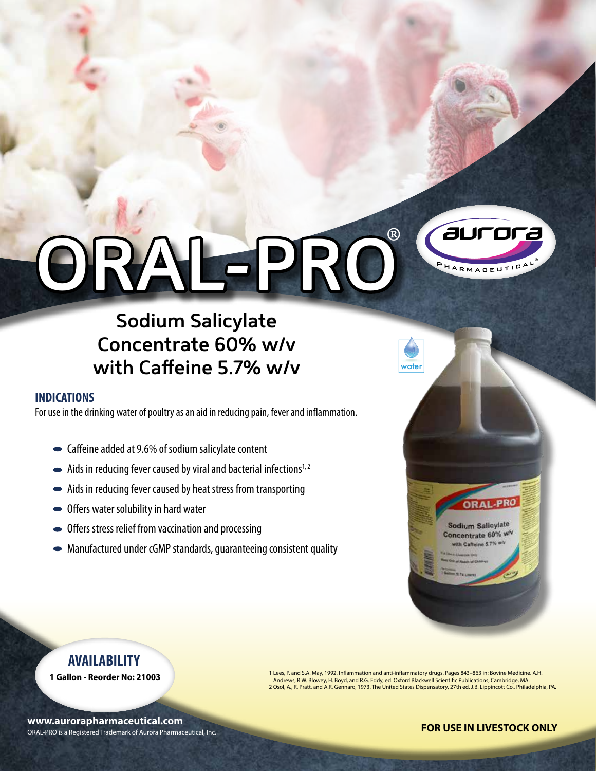## aurora ® **ORAL-PRO**PHARMACEUTICA

### **Sodium Salicylate Concentrate 60% w/v with Caffeine 5.7% w/v**

#### **INDICATIONS**

For use in the drinking water of poultry as an aid in reducing pain, fever and inflammation.

- Caffeine added at 9.6% of sodium salicylate content
- $\blacktriangleright$  Aids in reducing fever caused by viral and bacterial infections<sup>1,2</sup>
- Aids in reducing fever caused by heat stress from transporting
- Offers water solubility in hard water
- Offers stress relief from vaccination and processing
- Manufactured under cGMP standards, guaranteeing consistent quality



#### **AVAILABILITY**

**1 Gallon - Reorder No: 21003**

ORAL-PRO is a Registered Trademark of Aurora Pharmaceutical, Inc. **www.aurorapharmaceutical.com**

1 Lees, P. and S.A. May, 1992. Inflammation and anti-inflammatory drugs. Pages 843–863 in: Bovine Medicine. A.H. Andrews, R.W. Blowey, H. Boyd, and R.G. Eddy, ed. Oxford Blackwell Scientific Publications, Cambridge, MA. 2 Osol, A., R. Pratt, and A.R. Gennaro, 1973. The United States Dispensatory, 27th ed. J.B. Lippincott Co., Philadelphia, PA.

#### **FOR USE IN LIVESTOCK ONLY**